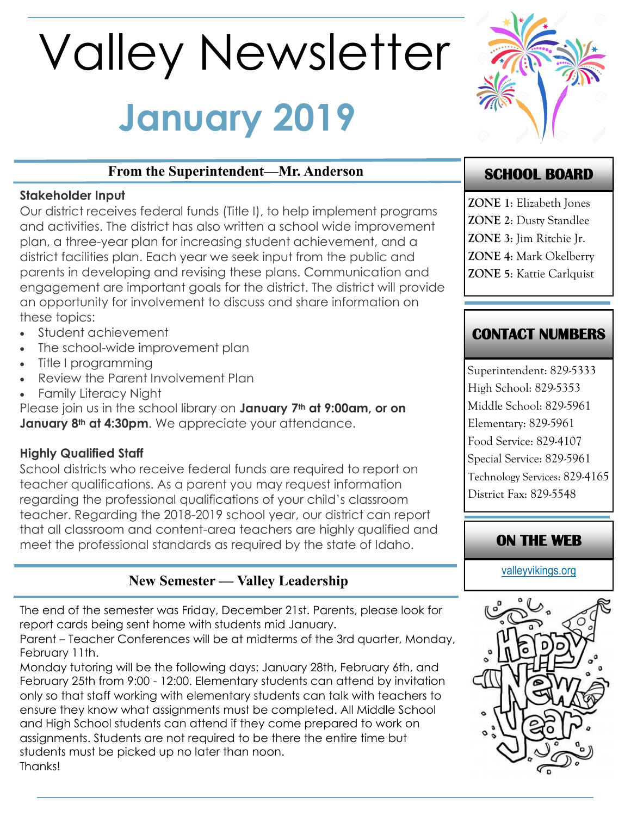# **January 2019** Valley Newsletter



## **From the Superintendent—Mr. Anderson**

#### **Stakeholder Input**

Our district receives federal funds (Title I), to help implement programs and activities. The district has also written a school wide improvement plan, a three-year plan for increasing student achievement, and a district facilities plan. Each year we seek input from the public and parents in developing and revising these plans. Communication and engagement are important goals for the district. The district will provide an opportunity for involvement to discuss and share information on these topics:

- Student achievement
- The school-wide improvement plan
- Title I programming
- Review the Parent Involvement Plan
- Family Literacy Night

Please join us in the school library on **January 7th at 9:00am, or on January 8th at 4:30pm**. We appreciate your attendance.

## **Highly Qualified Staff**

School districts who receive federal funds are required to report on teacher qualifications. As a parent you may request information regarding the professional qualifications of your child's classroom teacher. Regarding the 2018-2019 school year, our district can report that all classroom and content-area teachers are highly qualified and meet the professional standards as required by the state of Idaho.

## **New Semester — Valley Leadership**

The end of the semester was Friday, December 21st. Parents, please look for report cards being sent home with students mid January.

Parent – Teacher Conferences will be at midterms of the 3rd quarter, Monday, February 11th.

Monday tutoring will be the following days: January 28th, February 6th, and February 25th from 9:00 - 12:00. Elementary students can attend by invitation only so that staff working with elementary students can talk with teachers to ensure they know what assignments must be completed. All Middle School and High School students can attend if they come prepared to work on assignments. Students are not required to be there the entire time but students must be picked up no later than noon. Thanks!

# **SCHOOL BOARD**

**ZONE 1**: Elizabeth Jones **ZONE 2**: Dusty Standlee **ZONE 3**: Jim Ritchie Jr. **ZONE 4**: Mark Okelberry

**ZONE 5**: Kattie Carlquist

# **CONTACT NUMBERS**

Superintendent: 829-5333 High School: 829-5353 Middle School: 829-5961 Elementary: 829-5961 Food Service: 829-4107 Special Service: 829-5961 Technology Services: 829-4165 District Fax: 829-5548

# **ON THE WEB**

[valleyvikings.org](http://www.valleyvikings.org/)

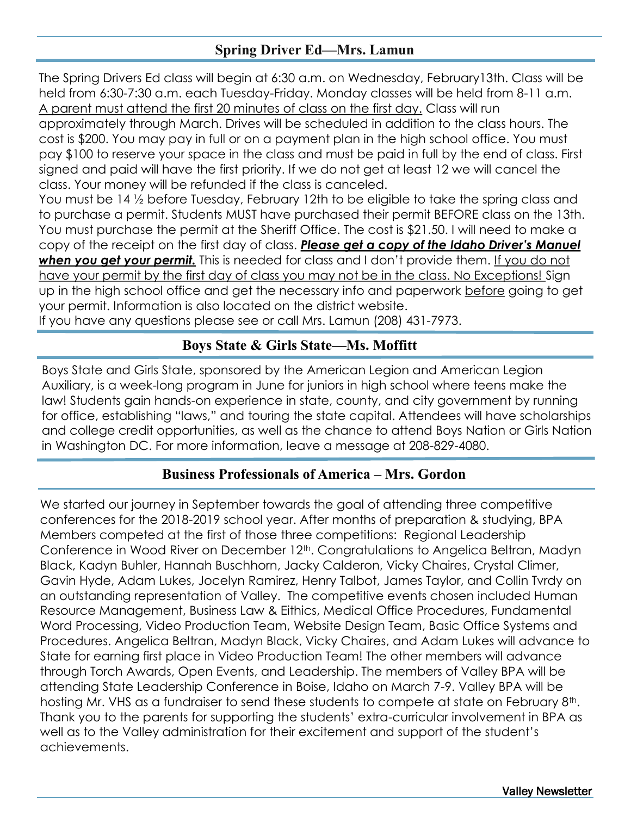## **Spring Driver Ed—Mrs. Lamun**

The Spring Drivers Ed class will begin at 6:30 a.m. on Wednesday, February13th. Class will be held from 6:30-7:30 a.m. each Tuesday-Friday. Monday classes will be held from 8-11 a.m. A parent must attend the first 20 minutes of class on the first day. Class will run

approximately through March. Drives will be scheduled in addition to the class hours. The cost is \$200. You may pay in full or on a payment plan in the high school office. You must pay \$100 to reserve your space in the class and must be paid in full by the end of class. First signed and paid will have the first priority. If we do not get at least 12 we will cancel the class. Your money will be refunded if the class is canceled.

You must be 14 ½ before Tuesday, February 12th to be eligible to take the spring class and to purchase a permit. Students MUST have purchased their permit BEFORE class on the 13th. You must purchase the permit at the Sheriff Office. The cost is \$21.50. I will need to make a copy of the receipt on the first day of class. *Please get a copy of the Idaho Driver's Manuel*  when you get your permit. This is needed for class and I don't provide them. If you do not have your permit by the first day of class you may not be in the class. No Exceptions! Sign up in the high school office and get the necessary info and paperwork before going to get your permit. Information is also located on the district website.

If you have any questions please see or call Mrs. Lamun (208) 431-7973.

### **Boys State & Girls State—Ms. Moffitt**

Boys State and Girls State, sponsored by the American Legion and American Legion Auxiliary, is a week-long program in June for juniors in high school where teens make the law! Students gain hands-on experience in state, county, and city government by running for office, establishing "laws," and touring the state capital. Attendees will have scholarships and college credit opportunities, as well as the chance to attend Boys Nation or Girls Nation in Washington DC. For more information, leave a message at 208-829-4080.

#### **Business Professionals of America – Mrs. Gordon**

We started our journey in September towards the goal of attending three competitive conferences for the 2018-2019 school year. After months of preparation & studying, BPA Members competed at the first of those three competitions: Regional Leadership Conference in Wood River on December 12<sup>th</sup>. Congratulations to Angelica Beltran, Madyn Black, Kadyn Buhler, Hannah Buschhorn, Jacky Calderon, Vicky Chaires, Crystal Climer, Gavin Hyde, Adam Lukes, Jocelyn Ramirez, Henry Talbot, James Taylor, and Collin Tvrdy on an outstanding representation of Valley. The competitive events chosen included Human Resource Management, Business Law & Eithics, Medical Office Procedures, Fundamental Word Processing, Video Production Team, Website Design Team, Basic Office Systems and Procedures. Angelica Beltran, Madyn Black, Vicky Chaires, and Adam Lukes will advance to State for earning first place in Video Production Team! The other members will advance through Torch Awards, Open Events, and Leadership. The members of Valley BPA will be attending State Leadership Conference in Boise, Idaho on March 7-9. Valley BPA will be hosting Mr. VHS as a fundraiser to send these students to compete at state on February 8<sup>th</sup>. Thank you to the parents for supporting the students' extra-curricular involvement in BPA as well as to the Valley administration for their excitement and support of the student's achievements.